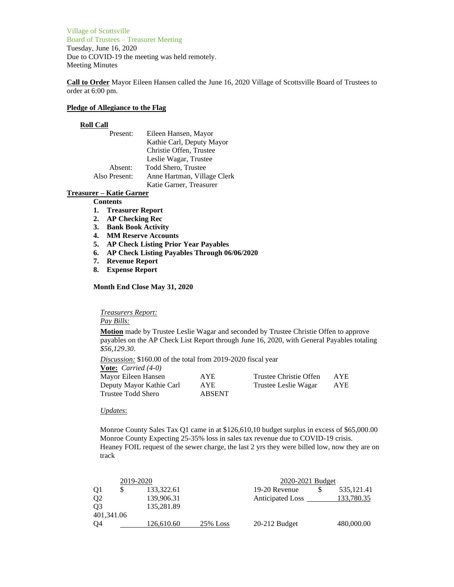Village of Scottsville Board of Trustees – Treasurer Meeting Tuesday, June 16, 2020 Due to COVID-19 the meeting was held remotely. Meeting Minutes

**Call to Order** Mayor Eileen Hansen called the June 16, 2020 Village of Scottsville Board of Trustees to order at 6:00 pm.

## **Pledge of Allegiance to the Flag**

### **Roll Call**

| Present:      | Eileen Hansen, Mayor        |
|---------------|-----------------------------|
|               | Kathie Carl, Deputy Mayor   |
|               | Christie Offen, Trustee     |
|               | Leslie Wagar, Trustee       |
| Absent:       | <b>Todd Shero, Trustee</b>  |
| Also Present: | Anne Hartman, Village Clerk |
|               | Katie Garner, Treasurer     |

# **Treasurer – Katie Garner**

#### **Contents**

- **1. Treasurer Report**
- **2. AP Checking Rec**
- **3. Bank Book Activity**
- **4. MM Reserve Accounts**
- **5. AP Check Listing Prior Year Payables**
- **6. AP Check Listing Payables Through 06/06/2020**
- **7. Revenue Report**
- **8. Expense Report**

### **Month End Close May 31, 2020**

*Treasurers Report:*

*Pay Bills:*

**Motion** made by Trustee Leslie Wagar and seconded by Trustee Christie Offen to approve payables on the AP Check List Report through June 16, 2020, with General Payables totaling *\$56,129.30*.

*Discussion:* \$160.00 of the total from 2019-2020 fiscal year

| <b>Vote:</b> <i>Carried</i> $(4-0)$ |               |                        |      |
|-------------------------------------|---------------|------------------------|------|
| Mayor Eileen Hansen                 | AYE.          | Trustee Christie Offen | AYE. |
| Deputy Mayor Kathie Carl            | AYE           | Trustee Leslie Wagar   | AYE  |
| Trustee Todd Shero                  | <b>ABSENT</b> |                        |      |

#### *Updates*:

Monroe County Sales Tax Q1 came in at \$126,610,10 budget surplus in excess of \$65,000.00 Monroe County Expecting 25-35% loss in sales tax revenue due to COVID-19 crisis. Heaney FOIL request of the sewer charge, the last 2 yrs they were billed low, now they are on track

| 2019-2020      |  |            | 2020-2021 Budget |                         |  |             |
|----------------|--|------------|------------------|-------------------------|--|-------------|
| Q <sub>1</sub> |  | 133,322.61 |                  | 19-20 Revenue           |  | 535, 121.41 |
| Q <sub>2</sub> |  | 139,906.31 |                  | <b>Anticipated Loss</b> |  | 133,780.35  |
| O <sub>3</sub> |  | 135,281.89 |                  |                         |  |             |
| 401.341.06     |  |            |                  |                         |  |             |
| O <sub>4</sub> |  | 126,610.60 | $25\%$ Loss      | $20-212$ Budget         |  | 480,000.00  |